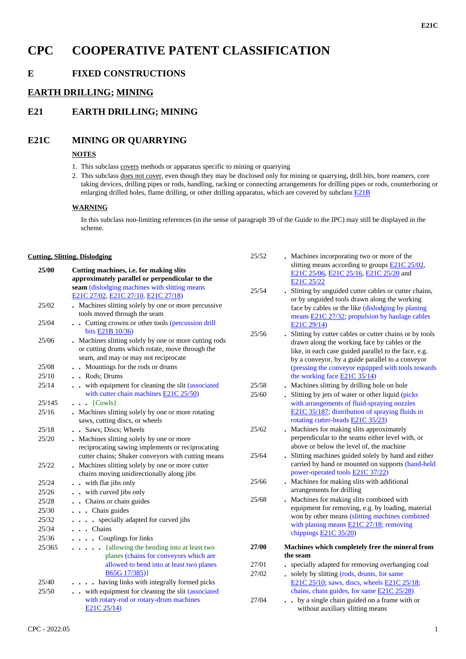# **CPC COOPERATIVE PATENT CLASSIFICATION**

## **E FIXED CONSTRUCTIONS**

## **EARTH DRILLING; MINING**

## **E21 EARTH DRILLING; MINING**

## **E21C MINING OR QUARRYING**

### **NOTES**

- 1. This subclass covers methods or apparatus specific to mining or quarrying
- 2. This subclass does not cover, even though they may be disclosed only for mining or quarrying, drill bits, bore reamers, core taking devices, drilling pipes or rods, handling, racking or connecting arrangements for drilling pipes or rods, counterboring or enlarging drilled holes, flame drilling, or other drilling apparatus, which are covered by subclass **E21B**

#### **WARNING**

In this subclass non-limiting references (in the sense of paragraph 39 of the Guide to the IPC) may still be displayed in the scheme.

25/52 **.** Machines incorporating two or more of the

#### **Cutting, Slitting, Dislodging**

| 25/00  | Cutting machines, i.e. for making slits                                                                                                                                      |       | slitting means according to groups <b>E21C 25/02</b> ,<br>E21C 25/06, E21C 25/16, E21C 25/20 and                                                                                                                      |
|--------|------------------------------------------------------------------------------------------------------------------------------------------------------------------------------|-------|-----------------------------------------------------------------------------------------------------------------------------------------------------------------------------------------------------------------------|
|        | approximately parallel or perpendicular to the<br>seam (dislodging machines with slitting means                                                                              |       | E21C 25/22                                                                                                                                                                                                            |
|        | E21C 27/02, E21C 27/10, E21C 27/18)                                                                                                                                          | 25/54 | . Slitting by unguided cutter cables or cutter chains,                                                                                                                                                                |
| 25/02  | . Machines slitting solely by one or more percussive<br>tools moved through the seam                                                                                         |       | or by unguided tools drawn along the working<br>face by cables or the like (dislodging by planing                                                                                                                     |
| 25/04  | . Cutting crowns or other tools (percussion drill                                                                                                                            |       | means E21C 27/32; propulsion by haulage cables<br>E21C 29/14)                                                                                                                                                         |
| 25/06  | bits <b>E21B</b> 10/36)<br>. Machines slitting solely by one or more cutting rods<br>or cutting drums which rotate, move through the<br>seam, and may or may not reciprocate | 25/56 | . Slitting by cutter cables or cutter chains or by tools<br>drawn along the working face by cables or the<br>like, in each case guided parallel to the face, e.g.<br>by a conveyor, by a guide parallel to a conveyor |
| 25/08  | . Mountings for the rods or drums                                                                                                                                            |       | (pressing the conveyor equipped with tools towards                                                                                                                                                                    |
| 25/10  | . Rods; Drums                                                                                                                                                                |       | the working face $E21C$ 35/14)                                                                                                                                                                                        |
| 25/14  | . . with equipment for cleaning the slit (associated                                                                                                                         | 25/58 | . Machines slitting by drilling hole on hole                                                                                                                                                                          |
|        | with cutter chain machines <b>E21C 25/50</b> )                                                                                                                               | 25/60 | . Slitting by jets of water or other liquid (picks                                                                                                                                                                    |
| 25/145 | $\cdots$ {Cowls}                                                                                                                                                             |       | with arrangements of fluid-spraying nozzles                                                                                                                                                                           |
| 25/16  | . Machines slitting solely by one or more rotating<br>saws, cutting discs, or wheels                                                                                         |       | E21C 35/187; distribution of spraying fluids in<br>rotating cutter-heads <b>E21C 35/23</b> )                                                                                                                          |
| 25/18  | . . Saws; Discs; Wheels                                                                                                                                                      | 25/62 | . Machines for making slits approximately                                                                                                                                                                             |
| 25/20  | . Machines slitting solely by one or more                                                                                                                                    |       | perpendicular to the seams either level with, or                                                                                                                                                                      |
|        | reciprocating sawing implements or reciprocating                                                                                                                             |       | above or below the level of, the machine                                                                                                                                                                              |
|        | cutter chains; Shaker conveyors with cutting means                                                                                                                           | 25/64 | . Slitting machines guided solely by hand and either                                                                                                                                                                  |
| 25/22  | . Machines slitting solely by one or more cutter                                                                                                                             |       | carried by hand or mounted on supports (hand-held                                                                                                                                                                     |
|        | chains moving unidirectionally along jibs                                                                                                                                    |       | power-operated tools E21C 37/22)                                                                                                                                                                                      |
| 25/24  | . . with flat jibs only                                                                                                                                                      | 25/66 | . Machines for making slits with additional<br>arrangements for drilling                                                                                                                                              |
| 25/26  | . . with curved jibs only                                                                                                                                                    | 25/68 | . Machines for making slits combined with                                                                                                                                                                             |
| 25/28  | . Chains or chain guides                                                                                                                                                     |       | equipment for removing, e.g. by loading, material                                                                                                                                                                     |
| 25/30  | . Chain guides                                                                                                                                                               |       | won by other means (slitting machines combined                                                                                                                                                                        |
| 25/32  | . specially adapted for curved jibs                                                                                                                                          |       | with planing means $E21C 27/18$ ; removing                                                                                                                                                                            |
| 25/34  | . Chains                                                                                                                                                                     |       | chippings $E21C$ 35/20)                                                                                                                                                                                               |
| 25/36  | . Couplings for links                                                                                                                                                        |       |                                                                                                                                                                                                                       |
| 25/365 | . {allowing the bending into at least two                                                                                                                                    | 27/00 | Machines which completely free the mineral from                                                                                                                                                                       |
|        | planes (chains for conveyors which are                                                                                                                                       |       | the seam                                                                                                                                                                                                              |
|        | allowed to bend into at least two planes                                                                                                                                     | 27/01 | - specially adapted for removing overhanging coal                                                                                                                                                                     |
|        | $B65G$ 17/385)}                                                                                                                                                              | 27/02 | . solely by slitting (rods, drums, for same                                                                                                                                                                           |
| 25/40  | . having links with integrally formed picks                                                                                                                                  |       | E21C 25/10; saws, discs, wheels E21C 25/18;                                                                                                                                                                           |
| 25/50  | . . with equipment for cleaning the slit (associated                                                                                                                         |       | chains, chain guides, for same <b>E21C 25/28</b> )                                                                                                                                                                    |
|        | with rotary-rod or rotary-drum machines<br>E21C 25/14)                                                                                                                       | 27/04 | by a single chain guided on a frame with or<br>without auxiliary slitting means                                                                                                                                       |
|        |                                                                                                                                                                              |       |                                                                                                                                                                                                                       |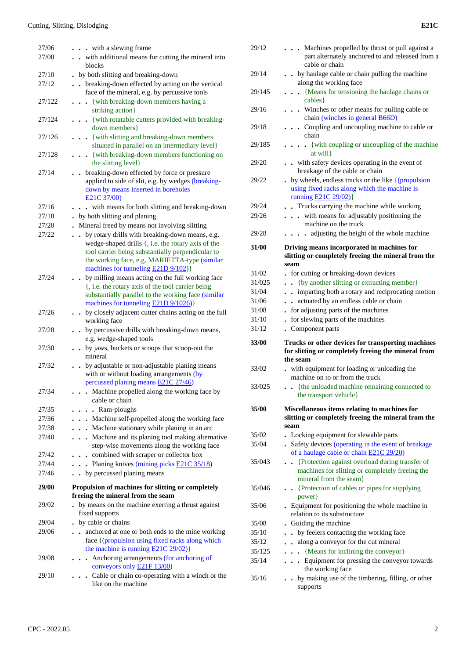| 27/06        | with a slewing frame.                                                   |
|--------------|-------------------------------------------------------------------------|
| 27/08        | with additional means for cutting the mineral into                      |
|              | blocks                                                                  |
| 27/10        | by both slitting and breaking-down                                      |
| 27/12        | breaking-down effected by acting on the vertical                        |
|              | face of the mineral, e.g. by percussive tools                           |
| 27/122       | . {with breaking-down members having a                                  |
|              | striking action}                                                        |
| 27/124       | . { with rotatable cutters provided with breaking-                      |
|              | down members }                                                          |
| 27/126       | {with slitting and breaking-down members<br>$\ddot{\phantom{0}}$        |
|              | situated in parallel on an intermediary level}                          |
| 27/128       | {with breaking-down members functioning on                              |
|              | the slitting level}                                                     |
| 27/14        | breaking-down effected by force or pressure                             |
|              | applied to side of slit, e.g. by wedges (breaking-                      |
|              | down by means inserted in boreholes                                     |
|              | E21C 37/00)                                                             |
| 27/16        | . . with means for both slitting and breaking-down                      |
| 27/18        | by both slitting and planing                                            |
| 27/20        | Mineral freed by means not involving slitting                           |
| 27/22        | by rotary drills with breaking-down means, e.g.                         |
|              | wedge-shaped drills {, i.e. the rotary axis of the                      |
|              | tool carrier being substantially perpendicular to                       |
|              | the working face, e.g. MARIETTA-type (similar                           |
|              | machines for tunneling <b>E21D</b> 9/102)}                              |
| 27/24        | by milling means acting on the full working face                        |
|              | {, i.e. the rotary axis of the tool carrier being                       |
|              | substantially parallel to the working face (similar                     |
|              | machines for tunneling E21D 9/1026)}                                    |
| 27/26        | . by closely adjacent cutter chains acting on the full                  |
|              | working face                                                            |
| 27/28        | . by percussive drills with breaking-down means,                        |
|              | e.g. wedge-shaped tools                                                 |
| 27/30        | . by jaws, buckets or scoops that scoop-out the<br>mineral              |
| 27/32        | by adjustable or non-adjustable planing means<br>$\bullet$              |
|              | with or without loading arrangements (by                                |
|              | percussed planing means E21C 27/46)                                     |
| 27/34        | Machine propelled along the working face by                             |
|              | cable or chain                                                          |
| 27/35        | • Ram-ploughs                                                           |
| 27/36        | Machine self-propelled along the working face<br>$\ddot{\phantom{0}}$   |
| 27/38        | Machine stationary while planing in an arc<br>$\ddot{\phantom{0}}$      |
| 27/40        | Machine and its planing tool making alternative<br>$\ddot{\phantom{0}}$ |
|              | step-wise movements along the working face                              |
| 27/42        | combined with scraper or collector box<br>$\ddot{\phantom{0}}$          |
| 27/44        | . Planing knives (mining picks $E21C$ 35/18)                            |
| 27/46        | by percussed planing means                                              |
|              |                                                                         |
| <b>29/00</b> | Propulsion of machines for slitting or completely                       |
|              | freeing the mineral from the seam                                       |
| 29/02        | . by means on the machine exerting a thrust against                     |
|              | fixed supports                                                          |
| 29/04        | . by cable or chains                                                    |
| 29/06        | anchored at one or both ends to the mine working                        |
|              | face {(propulsion using fixed racks along which                         |
|              | the machine is running $E21C 29/02$ )                                   |
| 29/08        | . Anchoring arrangements (for anchoring of                              |
|              | conveyors only <b>E21F 13/00</b> )                                      |
| 29/10        | • Cable or chain co-operating with a winch or the                       |
|              | like on the machine                                                     |

| 29/12  | Machines propelled by thrust or pull against a<br>part alternately anchored to and released from a<br>cable or chain                                 |
|--------|------------------------------------------------------------------------------------------------------------------------------------------------------|
| 29/14  | by haulage cable or chain pulling the machine<br>along the working face                                                                              |
| 29/145 | {Means for tensioning the haulage chains or<br>$\ddot{\phantom{0}}$<br>cables }                                                                      |
| 29/16  | Winches or other means for pulling cable or<br>chain (winches in general B66D)                                                                       |
| 29/18  | Coupling and uncoupling machine to cable or<br>chain                                                                                                 |
| 29/185 | . {with coupling or uncoupling of the machine<br>at will }                                                                                           |
| 29/20  | . . with safety devices operating in the event of<br>breakage of the cable or chain                                                                  |
| 29/22  | . by wheels, endless tracks or the like { (propulsion<br>using fixed racks along which the machine is<br>running <b>E21C</b> 29/02)}                 |
| 29/24  | . Trucks carrying the machine while working                                                                                                          |
| 29/26  | with means for adjustably positioning the<br>machine on the truck                                                                                    |
| 29/28  | adjusting the height of the whole machine<br>$\ddot{\phantom{a}}$                                                                                    |
| 31/00  | Driving means incorporated in machines for<br>slitting or completely freeing the mineral from the                                                    |
|        | seam                                                                                                                                                 |
| 31/02  | for cutting or breaking-down devices                                                                                                                 |
| 31/025 | {by another slitting or extracting member}<br>$\ddot{\phantom{0}}$                                                                                   |
| 31/04  | - imparting both a rotary and reciprocating motion                                                                                                   |
| 31/06  | actuated by an endless cable or chain<br>$\ddot{\phantom{a}}$<br>$\bullet$                                                                           |
| 31/08  | for adjusting parts of the machines                                                                                                                  |
| 31/10  | for slewing parts of the machines                                                                                                                    |
| 31/12  | Component parts                                                                                                                                      |
| 33/00  | Trucks or other devices for transporting machines<br>for slitting or completely freeing the mineral from<br>the seam                                 |
| 33/02  | . with equipment for loading or unloading the<br>machine on to or from the truck                                                                     |
| 33/025 | • • {the unloaded machine remaining connected to<br>the transport vehicle}                                                                           |
| 35/00  | Miscellaneous items relating to machines for<br>slitting or completely freeing the mineral from the<br>seam                                          |
| 35/02  | • Locking equipment for slewable parts                                                                                                               |
| 35/04  | . Safety devices (operating in the event of breakage<br>of a haulage cable or chain E21C 29/20)                                                      |
| 35/043 | {Protection against overload during transfer of<br>$\ddot{\phantom{a}}$<br>machines for slitting or completely freeing the<br>mineral from the seam} |
| 35/046 | • {Protection of cables or pipes for supplying<br>power}                                                                                             |
| 35/06  | . Equipment for positioning the whole machine in<br>relation to its substructure                                                                     |
| 35/08  | Guiding the machine                                                                                                                                  |
| 35/10  | by feelers contacting the working face<br>$\ddot{\phantom{a}}$                                                                                       |
| 35/12  | along a conveyor for the cut mineral<br>$\ddot{\phantom{0}}$                                                                                         |
| 35/125 | {Means for inclining the conveyor}<br>$\ddot{\phantom{0}}$                                                                                           |
| 35/14  | . Equipment for pressing the conveyor towards<br>the working face                                                                                    |
| 35/16  | by making use of the timbering, filling, or other<br>supports                                                                                        |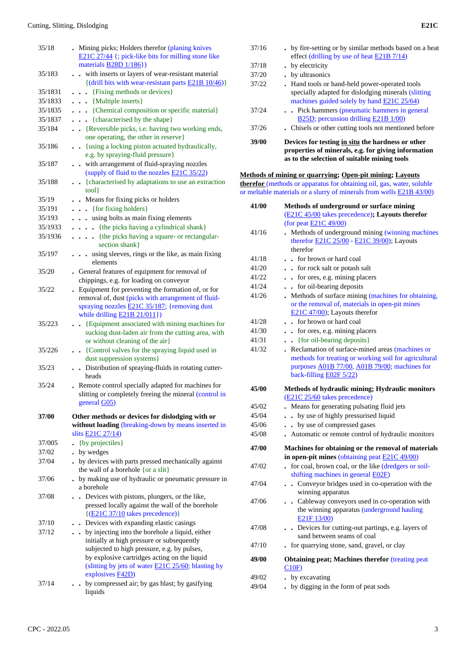| 35/18   | . Mining picks; Holders therefor (planing knives<br>E21C 27/44 {; pick-like bits for milling stone like<br>materials $B28D$ 1/186})                                                                                                                        |
|---------|------------------------------------------------------------------------------------------------------------------------------------------------------------------------------------------------------------------------------------------------------------|
| 35/183  | - with inserts or layers of wear-resistant material<br>{(drill bits with wear-resistant parts E21B 10/46)}                                                                                                                                                 |
|         |                                                                                                                                                                                                                                                            |
| 35/1831 | . {Fixing methods or devices}                                                                                                                                                                                                                              |
| 35/1833 | $\cdots$ {Multiple inserts}                                                                                                                                                                                                                                |
| 35/1835 | . {Chemical composition or specific material}                                                                                                                                                                                                              |
| 35/1837 | {characterised by the shape}                                                                                                                                                                                                                               |
| 35/184  | . . {Reversible picks, i.e. having two working ends,<br>one operating, the other in reserve}                                                                                                                                                               |
| 35/186  | . {using a locking piston actuated hydraulically,<br>e.g. by spraying-fluid pressure}                                                                                                                                                                      |
| 35/187  | . . with arrangement of fluid-spraying nozzles<br>(supply of fluid to the nozzles <b>E21C 35/22</b> )                                                                                                                                                      |
| 35/188  | . {characterised by adaptations to use an extraction<br>tool }                                                                                                                                                                                             |
| 35/19   | . Means for fixing picks or holders                                                                                                                                                                                                                        |
| 35/191  | . { for fixing holders }                                                                                                                                                                                                                                   |
| 35/193  | . using bolts as main fixing elements                                                                                                                                                                                                                      |
| 35/1933 | {the picks having a cylindrical shank}<br>.                                                                                                                                                                                                                |
| 35/1936 | {the picks having a square- or rectangular-<br>.<br>section shank}                                                                                                                                                                                         |
| 35/197  | using sleeves, rings or the like, as main fixing<br>elements                                                                                                                                                                                               |
| 35/20   | . General features of equipment for removal of<br>chippings, e.g. for loading on conveyor                                                                                                                                                                  |
| 35/22   | . Equipment for preventing the formation of, or for<br>removal of, dust (picks with arrangement of fluid-<br>spraying nozzles <b>E21C 35/187</b> ; {removing dust<br>while drilling E21B 21/011})                                                          |
| 35/223  | {Equipment associated with mining machines for<br>$\ddot{\phantom{0}}$<br>sucking dust-laden air from the cutting area, with<br>or without cleaning of the air}                                                                                            |
| 35/226  | . {Control valves for the spraying liquid used in<br>dust suppression systems}                                                                                                                                                                             |
| 35/23   | Distribution of spraying-fluids in rotating cutter-<br>$\ddot{\phantom{0}}$<br>heads                                                                                                                                                                       |
| 35/24   | . Remote control specially adapted for machines for<br>slitting or completely freeing the mineral (control in<br>general G05)                                                                                                                              |
| 37/00   | Other methods or devices for dislodging with or                                                                                                                                                                                                            |
|         | without loading (breaking-down by means inserted in<br>slits <b>E21C</b> 27/14)                                                                                                                                                                            |
| 37/005  | {by projectiles}                                                                                                                                                                                                                                           |
| 37/02   | . by wedges                                                                                                                                                                                                                                                |
| 37/04   | . by devices with parts pressed mechanically against<br>the wall of a borehole {or a slit}                                                                                                                                                                 |
| 37/06   | . by making use of hydraulic or pneumatic pressure in<br>a borehole                                                                                                                                                                                        |
| 37/08   | • Devices with pistons, plungers, or the like,<br>pressed locally against the wall of the borehole<br>$\{(\underline{E21C} \ 37/10} \$ takes precedence) $\}$                                                                                              |
| 37/10   | . . Devices with expanding elastic casings                                                                                                                                                                                                                 |
| 37/12   | by injecting into the borehole a liquid, either<br>initially at high pressure or subsequently<br>subjected to high pressure, e.g. by pulses,<br>by explosive cartridges acting on the liquid<br>(slitting by jets of water <b>E21C 25/60</b> ; blasting by |
|         | explosives <b>F42D</b> )                                                                                                                                                                                                                                   |
| 37/14   | by compressed air; by gas blast; by gasifying<br>liquids                                                                                                                                                                                                   |

| 39/00 | Devices for testing in situ the hardness or other<br>properties of minerals, e.g. for giving information<br>as to the selection of suitable mining tools |
|-------|----------------------------------------------------------------------------------------------------------------------------------------------------------|
| 37/26 | . Chisels or other cutting tools not mentioned before                                                                                                    |
| 37/24 | . . Pick hammers (pneumatic hammers in general<br>B25D; percussion drilling E21B 1/00)                                                                   |
|       | specially adapted for dislodging minerals (slitting<br>machines guided solely by hand E21C 25/64)                                                        |
| 37/22 | . Hand tools or hand-held power-operated tools                                                                                                           |
| 37/20 | • by ultrasonics                                                                                                                                         |
| 37/18 | • by electricity                                                                                                                                         |
| 37/16 | . by fire-setting or by similar methods based on a heat<br>effect (drilling by use of heat E21B 7/14)                                                    |
|       |                                                                                                                                                          |

#### **Methods of mining or quarrying; Open-pit mining; Layouts**

**therefor** (methods or apparatus for obtaining oil, gas, water, soluble or meltable materials or a slurry of minerals from wells E21B 43/00)

| 41/00 | Methods of underground or surface mining                  |
|-------|-----------------------------------------------------------|
|       | (E21C 45/00 takes precedence); Layouts therefor           |
|       | (for peat <b>E21C 49/00</b> )                             |
| 41/16 | Methods of underground mining (winning machines           |
|       | therefor <b>E21C 25/00</b> - <b>E21C 39/00</b> ); Layouts |
|       | therefor                                                  |
| 41/18 | . for brown or hard coal                                  |
| 41/20 | • for rock salt or potash salt                            |
| 41/22 | • for ores, e.g. mining placers                           |
| 41/24 | . . for oil-bearing deposits                              |
| 41/26 | Methods of surface mining (machines for obtaining,        |
|       | or the removal of, materials in open-pit mines            |
|       | $E21C$ 47/00); Layouts therefor                           |
| 41/28 | . . for brown or hard coal                                |
| 41/30 | - for ores, e.g. mining placers                           |
| 41/31 | $\bullet$ {for oil-bearing deposits}                      |
| 41/32 | Reclamation of surface-mined areas (machines or           |
|       | methods for treating or working soil for agricultural     |
|       | purposes A01B 77/00, A01B 79/00; machines for             |
|       | back-filling <b>E02F</b> 5/22)                            |
| 45/00 | Methods of hydraulic mining; Hydraulic monitors           |
|       | (E21C 25/60 takes precedence)                             |
| 45/02 | Means for generating pulsating fluid jets                 |
| 45/04 | . . by use of highly pressurised liquid                   |
| 45/06 | by use of compressed gases                                |
| 45/08 | Automatic or remote control of hydraulic monitors         |
|       |                                                           |
| 47/00 | Machines for obtaining or the removal of materials        |
|       | in open-pit mines (obtaining peat <b>E21C 49/00</b> )     |
| 47/02 | for coal, brown coal, or the like (dredgers or soil-      |
|       | shifting machines in general <b>E02F</b> )                |
| 47/04 | . . Conveyor bridges used in co-operation with the        |
|       | winning apparatus                                         |
| 47/06 | . Cableway conveyors used in co-operation with            |
|       | the winning apparatus (underground hauling                |
|       | E21F 13/00)                                               |
| 47/08 | Devices for cutting-out partings, e.g. layers of          |
|       | sand between seams of coal                                |
| 47/10 | for quarrying stone, sand, gravel, or clay                |
| 49/00 | <b>Obtaining peat; Machines therefor (treating peat</b>   |
|       |                                                           |
|       | C10F                                                      |
| 49/02 | . by excavating                                           |